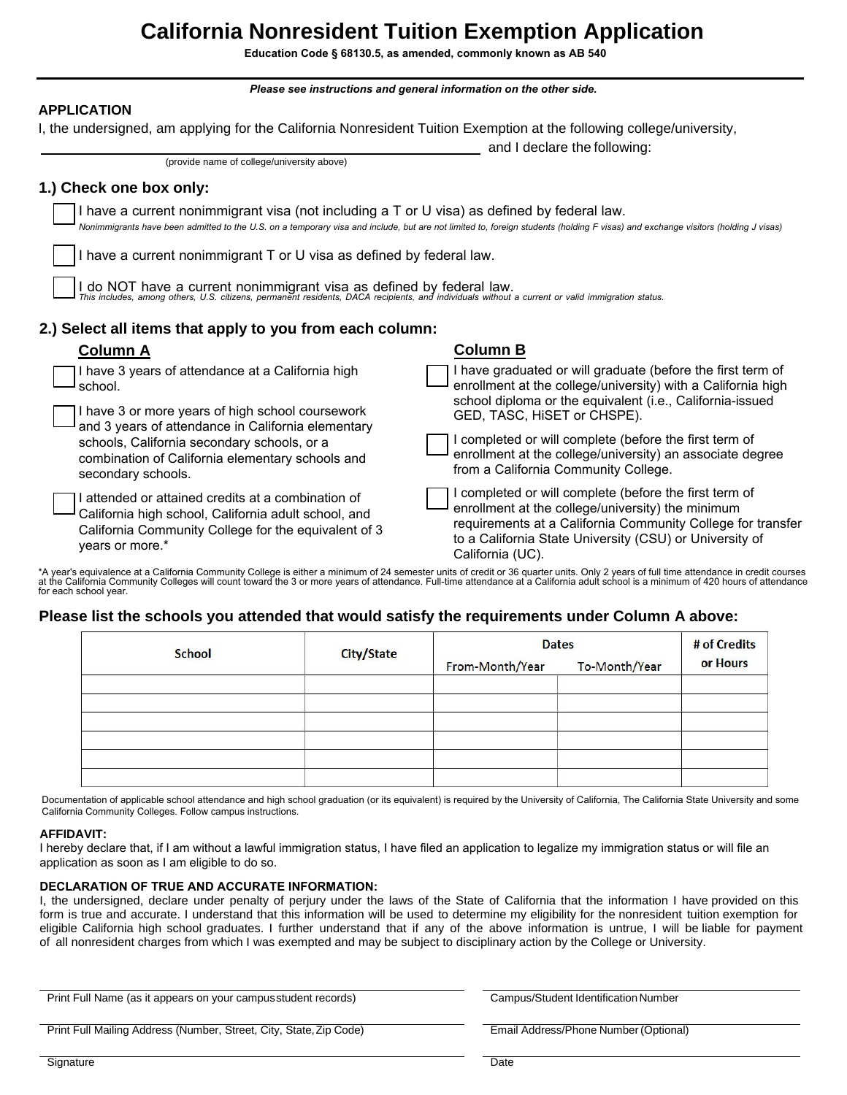# **California Nonresident Tuition Exemption Application**

**Education Code § 68130.5, as amended, commonly known as AB 540**

*Please see instructions and general information on the other side.* 

### **APPLICATION**

I, the undersigned, am applying for the California Nonresident Tuition Exemption at the following college/university,

and I declare the following:

|  | 1.) Check one box only: |  |  |  |
|--|-------------------------|--|--|--|
|--|-------------------------|--|--|--|

I have a current nonimmigrant visa (not including a T or U visa) as defined by federal law. *Nonimmigrants have been admitted to the U.S. on a temporary visa and include, but are not limited to, foreign students (holding F visas) and exchange visitors (holding J visas)*

I have a current nonimmigrant T or U visa as defined by federal law.

(provide name of college/university above)

I do NOT have a current nonimmigrant visa as defined by federal law.<br>This includes, among others, U.S. citizens, permanent residents, DACA recipients, and individuals without a current or valid immigration status.

## **2.) Select all items that apply to you from each column:**

| <b>Column A</b>                                                                                                                                                                       | <b>Column B</b>                                                                                                                                                                                                                                           |
|---------------------------------------------------------------------------------------------------------------------------------------------------------------------------------------|-----------------------------------------------------------------------------------------------------------------------------------------------------------------------------------------------------------------------------------------------------------|
| I have 3 years of attendance at a California high<br>school.                                                                                                                          | have graduated or will graduate (before the first term of<br>enrollment at the college/university) with a California high<br>school diploma or the equivalent (i.e., California-issued                                                                    |
| I have 3 or more years of high school coursework<br>and 3 years of attendance in California elementary                                                                                | GED, TASC, HiSET or CHSPE).                                                                                                                                                                                                                               |
| schools, California secondary schools, or a<br>combination of California elementary schools and<br>secondary schools.                                                                 | I completed or will complete (before the first term of<br>enrollment at the college/university) an associate degree<br>from a California Community College.                                                                                               |
| I attended or attained credits at a combination of<br>California high school, California adult school, and<br>California Community College for the equivalent of 3<br>years or more.* | I completed or will complete (before the first term of<br>enrollment at the college/university) the minimum<br>requirements at a California Community College for transfer<br>to a California State University (CSU) or University of<br>California (UC). |

\*A year's equivalence at a California Community College is either a minimum of 24 semester units of credit or 36 quarter units. Only 2 years of full time attendance in credit courses<br>at the California Community Colleges wi for each school year.

### **Please list the schools you attended that would satisfy the requirements under Column A above:**

| <b>School</b> | <b>City/State</b> | <b>Dates</b>    |               | # of Credits |
|---------------|-------------------|-----------------|---------------|--------------|
|               |                   | From-Month/Year | To-Month/Year | or Hours     |
|               |                   |                 |               |              |
|               |                   |                 |               |              |
|               |                   |                 |               |              |
|               |                   |                 |               |              |
|               |                   |                 |               |              |
|               |                   |                 |               |              |

Documentation of applicable school attendance and high school graduation (or its equivalent) is required by the University of California, The California State University and some California Community Colleges. Follow campus instructions.

#### **AFFIDAVIT:**

I hereby declare that, if I am without a lawful immigration status, I have filed an application to legalize my immigration status or will file an application as soon as I am eligible to do so.

#### **DECLARATION OF TRUE AND ACCURATE INFORMATION:**

I, the undersigned, declare under penalty of perjury under the laws of the State of California that the information I have provided on this form is true and accurate. I understand that this information will be used to determine my eligibility for the nonresident tuition exemption for eligible California high school graduates. I further understand that if any of the above information is untrue, I will be liable for payment of all nonresident charges from which I was exempted and may be subject to disciplinary action by the College or University.

| Print Full Name (as it appears on your campus student records)     | Campus/Student Identification Number  |  |  |
|--------------------------------------------------------------------|---------------------------------------|--|--|
| Print Full Mailing Address (Number, Street, City, State, Zip Code) | Email Address/Phone Number (Optional) |  |  |
| Signature                                                          | Date                                  |  |  |